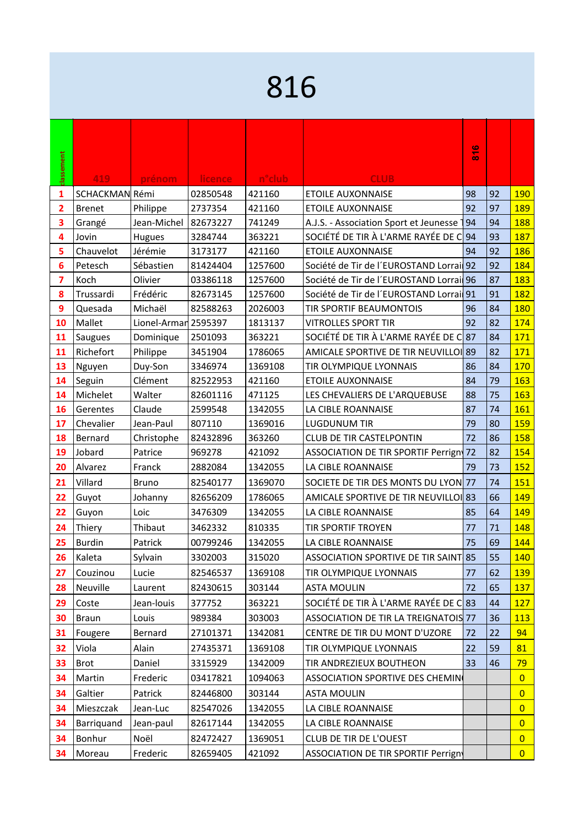## 

|            |                |                      |          |                     |                                         | G<br>$\bar{5}$ |    |                |
|------------|----------------|----------------------|----------|---------------------|-----------------------------------------|----------------|----|----------------|
| classement | 419            | prénom               | licence  | n <sup>o</sup> club | <b>CLUB</b>                             |                |    |                |
| 1          | SCHACKMAN Rémi |                      | 02850548 | 421160              | <b>ETOILE AUXONNAISE</b>                | 98             | 92 | 190            |
| 2          | <b>Brenet</b>  | Philippe             | 2737354  | 421160              | <b>ETOILE AUXONNAISE</b>                | 92             | 97 | <b>189</b>     |
| 3          | Grangé         | Jean-Michel          | 82673227 | 741249              | A.J.S. - Association Sport et Jeunesse  | 94             | 94 | <b>188</b>     |
| 4          | Jovin          | Hugues               | 3284744  | 363221              | SOCIÉTÉ DE TIR À L'ARME RAYÉE DE C 94   |                | 93 | 187            |
| 5          | Chauvelot      | Jérémie              | 3173177  | 421160              | <b>ETOILE AUXONNAISE</b>                | 94             | 92 | 186            |
| 6          | Petesch        | Sébastien            | 81424404 | 1257600             | Société de Tir de l'EUROSTAND Lorrai 92 |                | 92 | 184            |
| 7          | Koch           | Olivier              | 03386118 | 1257600             | Société de Tir de l'EUROSTAND Lorrai 96 |                | 87 | 183            |
| 8          | Trussardi      | Frédéric             | 82673145 | 1257600             | Société de Tir de l'EUROSTAND Lorrai 91 |                | 91 | 182            |
| 9          | Quesada        | Michaël              | 82588263 | 2026003             | <b>TIR SPORTIF BEAUMONTOIS</b>          | 96             | 84 | 180            |
| 10         | Mallet         | Lionel-Armar 2595397 |          | 1813137             | <b>VITROLLES SPORT TIR</b>              | 92             | 82 | 174            |
| 11         | <b>Saugues</b> | Dominique            | 2501093  | 363221              | SOCIÉTÉ DE TIR À L'ARME RAYÉE DE C87    |                | 84 | 171            |
| 11         | Richefort      | Philippe             | 3451904  | 1786065             | AMICALE SPORTIVE DE TIR NEUVILLOI 89    |                | 82 | 171            |
| 13         | Nguyen         | Duy-Son              | 3346974  | 1369108             | TIR OLYMPIQUE LYONNAIS                  | 86             | 84 | 170            |
| 14         | Seguin         | Clément              | 82522953 | 421160              | <b>ETOILE AUXONNAISE</b>                | 84             | 79 | 163            |
| 14         | Michelet       | Walter               | 82601116 | 471125              | LES CHEVALIERS DE L'ARQUEBUSE           | 88             | 75 | 163            |
| 16         | Gerentes       | Claude               | 2599548  | 1342055             | LA CIBLE ROANNAISE                      | 87             | 74 | 161            |
| 17         | Chevalier      | Jean-Paul            | 807110   | 1369016             | <b>LUGDUNUM TIR</b>                     | 79             | 80 | 159            |
| 18         | Bernard        | Christophe           | 82432896 | 363260              | <b>CLUB DE TIR CASTELPONTIN</b>         | 72             | 86 | 158            |
| 19         | Jobard         | Patrice              | 969278   | 421092              | ASSOCIATION DE TIR SPORTIF Perrign      | 72             | 82 | 154            |
| 20         | Alvarez        | Franck               | 2882084  | 1342055             | LA CIBLE ROANNAISE                      | 79             | 73 | 152            |
| 21         | Villard        | <b>Bruno</b>         | 82540177 | 1369070             | SOCIETE DE TIR DES MONTS DU LYON 77     |                | 74 | 151            |
| 22         | Guyot          | Johanny              | 82656209 | 1786065             | AMICALE SPORTIVE DE TIR NEUVILLOI 83    |                | 66 | 149            |
| 22         | Guyon          | Loic                 | 3476309  | 1342055             | LA CIBLE ROANNAISE                      | 85             | 64 | 149            |
| 24         | Thiery         | Thibaut              | 3462332  | 810335              | TIR SPORTIF TROYEN                      | 77             | 71 | 148            |
| 25         | <b>Burdin</b>  | Patrick              | 00799246 | 1342055             | LA CIBLE ROANNAISE                      | 75             | 69 | 144            |
| 26         | Kaleta         | Sylvain              | 3302003  | 315020              | ASSOCIATION SPORTIVE DE TIR SAINT 85    |                | 55 | 140            |
| 27         | Couzinou       | Lucie                | 82546537 | 1369108             | TIR OLYMPIQUE LYONNAIS                  | 77             | 62 | 139            |
| 28         | Neuville       | Laurent              | 82430615 | 303144              | <b>ASTA MOULIN</b>                      | 72             | 65 | <b>137</b>     |
| 29         | Coste          | Jean-louis           | 377752   | 363221              | SOCIÉTÉ DE TIR À L'ARME RAYÉE DE C 83   |                | 44 | 127            |
| 30         | <b>Braun</b>   | Louis                | 989384   | 303003              | ASSOCIATION DE TIR LA TREIGNATOIS 77    |                | 36 | <b>113</b>     |
|            |                | Bernard              | 27101371 | 1342081             | CENTRE DE TIR DU MONT D'UZORE           | 72             | 22 | 94             |
| 31         | Fougere        |                      |          |                     |                                         |                |    |                |
| 32         | Viola          | Alain                | 27435371 | 1369108             | TIR OLYMPIQUE LYONNAIS                  | 22             | 59 | 81             |
| 33         | <b>Brot</b>    | Daniel               | 3315929  | 1342009             | TIR ANDREZIEUX BOUTHEON                 | 33             | 46 | 79             |
| 34         | Martin         | Frederic             | 03417821 | 1094063             | <b>ASSOCIATION SPORTIVE DES CHEMIN</b>  |                |    | $\overline{0}$ |
| 34         | Galtier        | Patrick              | 82446800 | 303144              | <b>ASTA MOULIN</b>                      |                |    | $\overline{0}$ |
| 34         | Mieszczak      | Jean-Luc             | 82547026 | 1342055             | LA CIBLE ROANNAISE                      |                |    | $\overline{0}$ |
| 34         | Barriquand     | Jean-paul            | 82617144 | 1342055             | LA CIBLE ROANNAISE                      |                |    | $\overline{0}$ |
| 34         | Bonhur         | Noël                 | 82472427 | 1369051             | <b>CLUB DE TIR DE L'OUEST</b>           |                |    | $\overline{0}$ |
| 34         | Moreau         | Frederic             | 82659405 | 421092              | ASSOCIATION DE TIR SPORTIF Perrign      |                |    | $\overline{0}$ |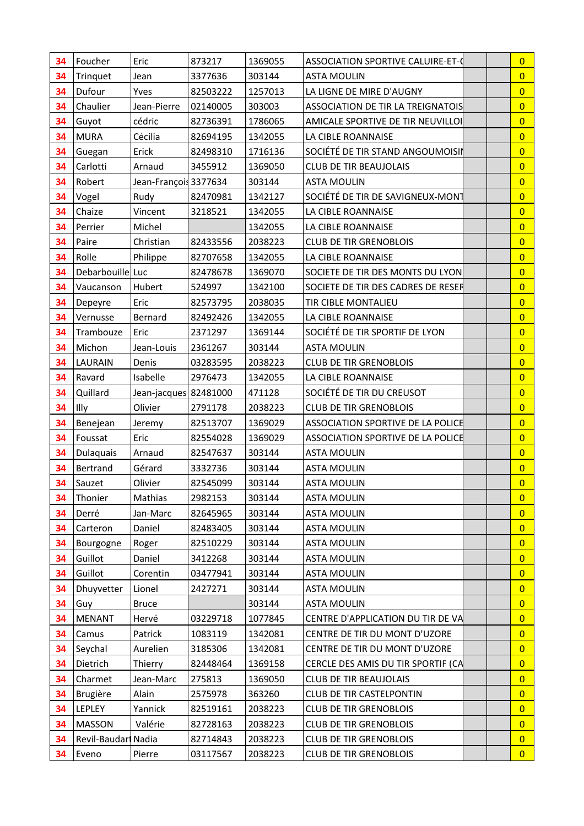| 34 | Foucher             | Eric                  | 873217   | 1369055 | ASSOCIATION SPORTIVE CALUIRE-ET-0        | $\overline{0}$ |
|----|---------------------|-----------------------|----------|---------|------------------------------------------|----------------|
| 34 | Trinquet            | Jean                  | 3377636  | 303144  | <b>ASTA MOULIN</b>                       | $\overline{0}$ |
| 34 | Dufour              | Yves                  | 82503222 | 1257013 | LA LIGNE DE MIRE D'AUGNY                 | $\overline{0}$ |
| 34 | Chaulier            | Jean-Pierre           | 02140005 | 303003  | <b>ASSOCIATION DE TIR LA TREIGNATOIS</b> | $\overline{0}$ |
| 34 | Guyot               | cédric                | 82736391 | 1786065 | AMICALE SPORTIVE DE TIR NEUVILLOI        | $\overline{0}$ |
| 34 | <b>MURA</b>         | Cécilia               | 82694195 | 1342055 | LA CIBLE ROANNAISE                       | $\overline{0}$ |
| 34 | Guegan              | Erick                 | 82498310 | 1716136 | SOCIÉTÉ DE TIR STAND ANGOUMOISII         | $\overline{0}$ |
| 34 | Carlotti            | Arnaud                | 3455912  | 1369050 | <b>CLUB DE TIR BEAUJOLAIS</b>            | $\overline{0}$ |
| 34 | Robert              | Jean-François 3377634 |          | 303144  | <b>ASTA MOULIN</b>                       | $\overline{0}$ |
| 34 | Vogel               | Rudy                  | 82470981 | 1342127 | SOCIÉTÉ DE TIR DE SAVIGNEUX-MONT         | $\overline{0}$ |
| 34 | Chaize              | Vincent               | 3218521  | 1342055 | LA CIBLE ROANNAISE                       | $\overline{0}$ |
| 34 | Perrier             | Michel                |          | 1342055 | LA CIBLE ROANNAISE                       | $\overline{0}$ |
| 34 | Paire               | Christian             | 82433556 | 2038223 | <b>CLUB DE TIR GRENOBLOIS</b>            | $\overline{0}$ |
| 34 | Rolle               | Philippe              | 82707658 | 1342055 | LA CIBLE ROANNAISE                       | $\overline{0}$ |
| 34 | Debarbouille Luc    |                       | 82478678 | 1369070 | SOCIETE DE TIR DES MONTS DU LYON         | $\overline{0}$ |
| 34 | Vaucanson           | Hubert                | 524997   | 1342100 | SOCIETE DE TIR DES CADRES DE RESER       | $\overline{0}$ |
| 34 | Depeyre             | Eric                  | 82573795 | 2038035 | TIR CIBLE MONTALIEU                      | $\overline{0}$ |
| 34 | Vernusse            | Bernard               | 82492426 | 1342055 | LA CIBLE ROANNAISE                       | $\overline{0}$ |
| 34 | Trambouze           | Eric                  | 2371297  | 1369144 | SOCIÉTÉ DE TIR SPORTIF DE LYON           | $\overline{0}$ |
| 34 | Michon              | Jean-Louis            | 2361267  | 303144  | <b>ASTA MOULIN</b>                       | $\overline{0}$ |
| 34 | LAURAIN             | Denis                 | 03283595 | 2038223 | <b>CLUB DE TIR GRENOBLOIS</b>            | $\overline{0}$ |
| 34 | Ravard              | Isabelle              | 2976473  | 1342055 | LA CIBLE ROANNAISE                       | $\overline{0}$ |
| 34 | Quillard            | Jean-jacques 82481000 |          | 471128  | SOCIÉTÉ DE TIR DU CREUSOT                | $\overline{0}$ |
| 34 | Illy                | Olivier               | 2791178  | 2038223 | <b>CLUB DE TIR GRENOBLOIS</b>            | $\overline{0}$ |
| 34 | Benejean            | Jeremy                | 82513707 | 1369029 | ASSOCIATION SPORTIVE DE LA POLICE        | $\overline{0}$ |
| 34 | Foussat             | Eric                  | 82554028 | 1369029 | ASSOCIATION SPORTIVE DE LA POLICE        | $\overline{0}$ |
| 34 | Dulaquais           | Arnaud                | 82547637 | 303144  | <b>ASTA MOULIN</b>                       | $\overline{0}$ |
| 34 | Bertrand            | Gérard                | 3332736  | 303144  | <b>ASTA MOULIN</b>                       | $\overline{0}$ |
| 34 | Sauzet              | Olivier               | 82545099 | 303144  | <b>ASTA MOULIN</b>                       | $\overline{0}$ |
| 34 | Thonier             | Mathias               | 2982153  | 303144  | <b>ASTA MOULIN</b>                       | $\overline{0}$ |
| 34 | Derré               | Jan-Marc              | 82645965 | 303144  | <b>ASTA MOULIN</b>                       | $\overline{0}$ |
| 34 | Carteron            | Daniel                | 82483405 | 303144  | <b>ASTA MOULIN</b>                       | $\overline{0}$ |
| 34 | Bourgogne           | Roger                 | 82510229 | 303144  | <b>ASTA MOULIN</b>                       | $\overline{0}$ |
| 34 | Guillot             | Daniel                | 3412268  | 303144  | <b>ASTA MOULIN</b>                       | $\overline{0}$ |
| 34 | Guillot             | Corentin              | 03477941 | 303144  | <b>ASTA MOULIN</b>                       | $\overline{0}$ |
| 34 | Dhuyvetter          | Lionel                | 2427271  | 303144  | <b>ASTA MOULIN</b>                       | $\overline{0}$ |
| 34 | Guy                 | <b>Bruce</b>          |          | 303144  | <b>ASTA MOULIN</b>                       | $\overline{0}$ |
| 34 | <b>MENANT</b>       | Hervé                 | 03229718 | 1077845 | CENTRE D'APPLICATION DU TIR DE VA        | $\overline{0}$ |
| 34 | Camus               | Patrick               | 1083119  | 1342081 | CENTRE DE TIR DU MONT D'UZORE            | $\overline{0}$ |
| 34 | Seychal             | Aurelien              | 3185306  | 1342081 | CENTRE DE TIR DU MONT D'UZORE            | $\overline{0}$ |
| 34 | Dietrich            | Thierry               | 82448464 | 1369158 | CERCLE DES AMIS DU TIR SPORTIF (CA       | $\overline{0}$ |
| 34 | Charmet             | Jean-Marc             | 275813   | 1369050 | <b>CLUB DE TIR BEAUJOLAIS</b>            | $\overline{0}$ |
| 34 | Brugière            | Alain                 | 2575978  | 363260  | <b>CLUB DE TIR CASTELPONTIN</b>          | $\overline{0}$ |
| 34 | LEPLEY              | Yannick               | 82519161 | 2038223 | <b>CLUB DE TIR GRENOBLOIS</b>            | $\overline{0}$ |
| 34 | MASSON              | Valérie               | 82728163 | 2038223 | <b>CLUB DE TIR GRENOBLOIS</b>            | $\overline{0}$ |
| 34 | Revil-Baudari Nadia |                       | 82714843 | 2038223 | <b>CLUB DE TIR GRENOBLOIS</b>            | $\overline{0}$ |
| 34 | Eveno               | Pierre                | 03117567 | 2038223 | <b>CLUB DE TIR GRENOBLOIS</b>            | $\overline{0}$ |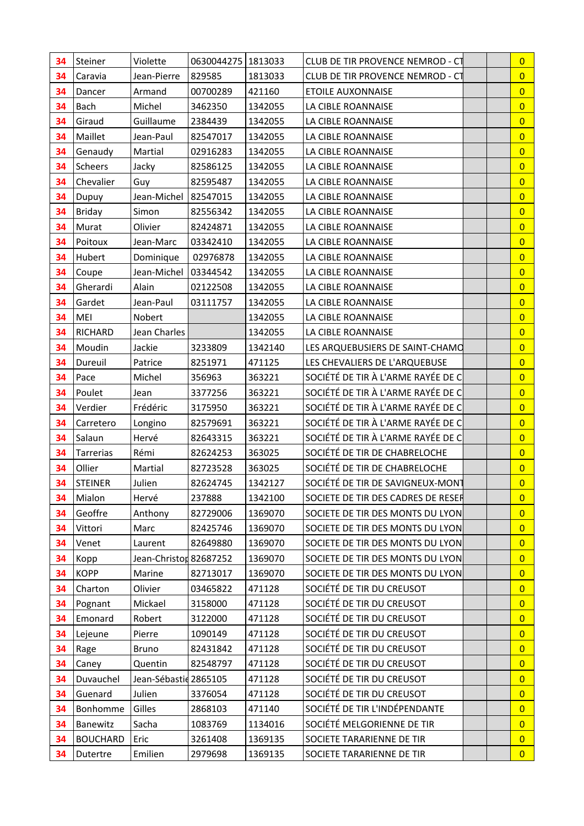| 34 | Steiner         | Violette               | 0630044275   1813033 |         | CLUB DE TIR PROVENCE NEMROD - CT   | $\overline{0}$ |
|----|-----------------|------------------------|----------------------|---------|------------------------------------|----------------|
| 34 | Caravia         | Jean-Pierre            | 829585               | 1813033 | CLUB DE TIR PROVENCE NEMROD - CT   | $\overline{0}$ |
| 34 | Dancer          | Armand                 | 00700289             | 421160  | <b>ETOILE AUXONNAISE</b>           | $\overline{0}$ |
| 34 | <b>Bach</b>     | Michel                 | 3462350              | 1342055 | LA CIBLE ROANNAISE                 | $\overline{0}$ |
| 34 | Giraud          | Guillaume              | 2384439              | 1342055 | LA CIBLE ROANNAISE                 | $\overline{0}$ |
| 34 | Maillet         | Jean-Paul              | 82547017             | 1342055 | LA CIBLE ROANNAISE                 | $\overline{0}$ |
| 34 | Genaudy         | Martial                | 02916283             | 1342055 | LA CIBLE ROANNAISE                 | $\overline{0}$ |
| 34 | Scheers         | Jacky                  | 82586125             | 1342055 | LA CIBLE ROANNAISE                 | $\overline{0}$ |
| 34 | Chevalier       | Guy                    | 82595487             | 1342055 | LA CIBLE ROANNAISE                 | $\overline{0}$ |
| 34 | Dupuy           | Jean-Michel            | 82547015             | 1342055 | LA CIBLE ROANNAISE                 | $\overline{0}$ |
| 34 | <b>Briday</b>   | Simon                  | 82556342             | 1342055 | LA CIBLE ROANNAISE                 | $\overline{0}$ |
| 34 | Murat           | Olivier                | 82424871             | 1342055 | LA CIBLE ROANNAISE                 | $\overline{0}$ |
| 34 | Poitoux         | Jean-Marc              | 03342410             | 1342055 | LA CIBLE ROANNAISE                 | $\overline{0}$ |
| 34 | Hubert          | Dominique              | 02976878             | 1342055 | LA CIBLE ROANNAISE                 | $\overline{0}$ |
| 34 | Coupe           | Jean-Michel            | 03344542             | 1342055 | LA CIBLE ROANNAISE                 | $\overline{0}$ |
| 34 | Gherardi        | Alain                  | 02122508             | 1342055 | LA CIBLE ROANNAISE                 | $\overline{0}$ |
| 34 | Gardet          | Jean-Paul              | 03111757             | 1342055 | LA CIBLE ROANNAISE                 | $\overline{0}$ |
| 34 | MEI             | Nobert                 |                      | 1342055 | LA CIBLE ROANNAISE                 | $\overline{0}$ |
| 34 | <b>RICHARD</b>  | Jean Charles           |                      | 1342055 | LA CIBLE ROANNAISE                 | $\overline{0}$ |
| 34 | Moudin          | Jackie                 | 3233809              | 1342140 | LES ARQUEBUSIERS DE SAINT-CHAMO    | $\overline{0}$ |
| 34 | Dureuil         | Patrice                | 8251971              | 471125  | LES CHEVALIERS DE L'ARQUEBUSE      | $\overline{0}$ |
| 34 | Pace            | Michel                 | 356963               | 363221  | SOCIÉTÉ DE TIR À L'ARME RAYÉE DE C | $\overline{0}$ |
| 34 | Poulet          | Jean                   | 3377256              | 363221  | SOCIÉTÉ DE TIR À L'ARME RAYÉE DE C | $\overline{0}$ |
| 34 | Verdier         | Frédéric               | 3175950              | 363221  | SOCIÉTÉ DE TIR À L'ARME RAYÉE DE C | $\overline{0}$ |
| 34 | Carretero       | Longino                | 82579691             | 363221  | SOCIÉTÉ DE TIR À L'ARME RAYÉE DE C | $\overline{0}$ |
| 34 | Salaun          | Hervé                  | 82643315             | 363221  | SOCIÉTÉ DE TIR À L'ARME RAYÉE DE C | $\overline{0}$ |
| 34 | Tarrerias       | Rémi                   | 82624253             | 363025  | SOCIÉTÉ DE TIR DE CHABRELOCHE      | $\overline{0}$ |
| 34 | Ollier          | Martial                | 82723528             | 363025  | SOCIÉTÉ DE TIR DE CHABRELOCHE      | $\overline{0}$ |
| 34 | <b>STEINER</b>  | Julien                 | 82624745             | 1342127 | SOCIÉTÉ DE TIR DE SAVIGNEUX-MONT   | $\overline{0}$ |
| 34 | Mialon          | Hervé                  | 237888               | 1342100 | SOCIETE DE TIR DES CADRES DE RESER | $\overline{0}$ |
| 34 | Geoffre         | Anthony                | 82729006             | 1369070 | SOCIETE DE TIR DES MONTS DU LYON   | $\overline{0}$ |
| 34 | Vittori         | Marc                   | 82425746             | 1369070 | SOCIETE DE TIR DES MONTS DU LYON   | $\overline{0}$ |
| 34 | Venet           | Laurent                | 82649880             | 1369070 | SOCIETE DE TIR DES MONTS DU LYON   | $\overline{0}$ |
| 34 | Kopp            | Jean-Christon 82687252 |                      | 1369070 | SOCIETE DE TIR DES MONTS DU LYON   | $\overline{0}$ |
| 34 | <b>KOPP</b>     | Marine                 | 82713017             | 1369070 | SOCIETE DE TIR DES MONTS DU LYON   | $\overline{0}$ |
| 34 | Charton         | Olivier                | 03465822             | 471128  | SOCIÉTÉ DE TIR DU CREUSOT          | $\overline{0}$ |
| 34 | Pognant         | Mickael                | 3158000              | 471128  | SOCIÉTÉ DE TIR DU CREUSOT          | $\overline{0}$ |
| 34 | Emonard         | Robert                 | 3122000              | 471128  | SOCIÉTÉ DE TIR DU CREUSOT          | $\overline{0}$ |
| 34 | Lejeune         | Pierre                 | 1090149              | 471128  | SOCIÉTÉ DE TIR DU CREUSOT          | $\overline{0}$ |
| 34 | Rage            | <b>Bruno</b>           | 82431842             | 471128  | SOCIÉTÉ DE TIR DU CREUSOT          | $\overline{0}$ |
| 34 | Caney           | Quentin                | 82548797             | 471128  | SOCIÉTÉ DE TIR DU CREUSOT          | $\overline{0}$ |
| 34 | Duvauchel       | Jean-Sébastid 2865105  |                      | 471128  | SOCIÉTÉ DE TIR DU CREUSOT          | $\overline{0}$ |
| 34 | Guenard         | Julien                 | 3376054              | 471128  | SOCIÉTÉ DE TIR DU CREUSOT          | $\overline{0}$ |
| 34 | Bonhomme        | Gilles                 | 2868103              | 471140  | SOCIÉTÉ DE TIR L'INDÉPENDANTE      | $\overline{0}$ |
| 34 | Banewitz        | Sacha                  | 1083769              | 1134016 | SOCIÉTÉ MELGORIENNE DE TIR         | $\overline{0}$ |
| 34 | <b>BOUCHARD</b> | Eric                   | 3261408              | 1369135 | SOCIETE TARARIENNE DE TIR          | $\overline{0}$ |
| 34 | Dutertre        | Emilien                | 2979698              | 1369135 | SOCIETE TARARIENNE DE TIR          | $\overline{0}$ |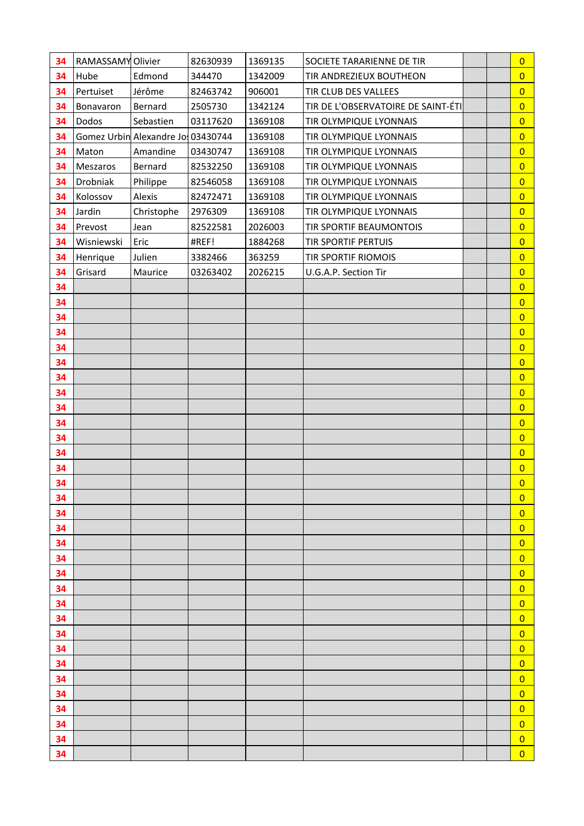| 34       | RAMASSAMY Olivier |                                   | 82630939 | 1369135 | SOCIETE TARARIENNE DE TIR          |  | $\overline{0}$                   |
|----------|-------------------|-----------------------------------|----------|---------|------------------------------------|--|----------------------------------|
| 34       | Hube              | Edmond                            | 344470   | 1342009 | TIR ANDREZIEUX BOUTHEON            |  | $\overline{0}$                   |
| 34       | Pertuiset         | Jérôme                            | 82463742 | 906001  | TIR CLUB DES VALLEES               |  | $\overline{0}$                   |
| 34       | Bonavaron         | Bernard                           | 2505730  | 1342124 | TIR DE L'OBSERVATOIRE DE SAINT-ÉTI |  | $\overline{0}$                   |
| 34       | Dodos             | Sebastien                         | 03117620 | 1369108 | TIR OLYMPIQUE LYONNAIS             |  | $\overline{0}$                   |
| 34       |                   | Gomez Urbin Alexandre Jo 03430744 |          | 1369108 | TIR OLYMPIQUE LYONNAIS             |  | $\overline{0}$                   |
| 34       | Maton             | Amandine                          | 03430747 | 1369108 | TIR OLYMPIQUE LYONNAIS             |  | $\overline{0}$                   |
| 34       | Meszaros          | Bernard                           | 82532250 | 1369108 | TIR OLYMPIQUE LYONNAIS             |  | $\overline{0}$                   |
| 34       | Drobniak          | Philippe                          | 82546058 | 1369108 | TIR OLYMPIQUE LYONNAIS             |  | $\overline{0}$                   |
| 34       | Kolossov          | Alexis                            | 82472471 | 1369108 | TIR OLYMPIQUE LYONNAIS             |  | $\overline{0}$                   |
| 34       | Jardin            | Christophe                        | 2976309  | 1369108 | TIR OLYMPIQUE LYONNAIS             |  | $\overline{0}$                   |
| 34       | Prevost           | Jean                              | 82522581 | 2026003 | TIR SPORTIF BEAUMONTOIS            |  | $\overline{0}$                   |
| 34       | Wisniewski        | Eric                              | #REF!    | 1884268 | TIR SPORTIF PERTUIS                |  | $\overline{0}$                   |
| 34       | Henrique          | Julien                            | 3382466  | 363259  | <b>TIR SPORTIF RIOMOIS</b>         |  | $\overline{0}$                   |
| 34       | Grisard           | Maurice                           | 03263402 | 2026215 | U.G.A.P. Section Tir               |  | $\overline{0}$                   |
| 34       |                   |                                   |          |         |                                    |  | $\overline{0}$                   |
| 34       |                   |                                   |          |         |                                    |  | $\overline{0}$                   |
| 34       |                   |                                   |          |         |                                    |  | $\overline{0}$                   |
| 34       |                   |                                   |          |         |                                    |  | $\overline{0}$                   |
| 34       |                   |                                   |          |         |                                    |  | $\overline{0}$                   |
| 34       |                   |                                   |          |         |                                    |  | $\overline{0}$                   |
| 34       |                   |                                   |          |         |                                    |  | $\overline{0}$                   |
| 34       |                   |                                   |          |         |                                    |  | $\overline{0}$                   |
| 34       |                   |                                   |          |         |                                    |  | $\overline{0}$                   |
| 34       |                   |                                   |          |         |                                    |  | $\overline{0}$                   |
| 34       |                   |                                   |          |         |                                    |  | $\overline{0}$                   |
| 34       |                   |                                   |          |         |                                    |  | $\overline{0}$                   |
| 34       |                   |                                   |          |         |                                    |  | $\overline{0}$                   |
| 34       |                   |                                   |          |         |                                    |  | $\overline{0}$                   |
| 34       |                   |                                   |          |         |                                    |  | $\overline{0}$                   |
| 34       |                   |                                   |          |         |                                    |  | $\overline{0}$                   |
| 34       |                   |                                   |          |         |                                    |  | $\overline{0}$                   |
| 34       |                   |                                   |          |         |                                    |  | $\overline{0}$                   |
| 34       |                   |                                   |          |         |                                    |  | $\overline{0}$                   |
| 34       |                   |                                   |          |         |                                    |  | $\overline{0}$                   |
| 34       |                   |                                   |          |         |                                    |  | $\overline{0}$                   |
| 34       |                   |                                   |          |         |                                    |  | $\overline{0}$                   |
| 34       |                   |                                   |          |         |                                    |  | $\overline{0}$                   |
| 34       |                   |                                   |          |         |                                    |  | $\overline{0}$                   |
| 34<br>34 |                   |                                   |          |         |                                    |  | $\overline{0}$<br>$\overline{0}$ |
| 34       |                   |                                   |          |         |                                    |  | $\overline{0}$                   |
| 34       |                   |                                   |          |         |                                    |  | $\overline{0}$                   |
| 34       |                   |                                   |          |         |                                    |  | $\overline{0}$                   |
| 34       |                   |                                   |          |         |                                    |  | $\overline{0}$                   |
| 34       |                   |                                   |          |         |                                    |  | $\overline{0}$                   |
| 34       |                   |                                   |          |         |                                    |  | $\overline{0}$                   |
|          |                   |                                   |          |         |                                    |  |                                  |